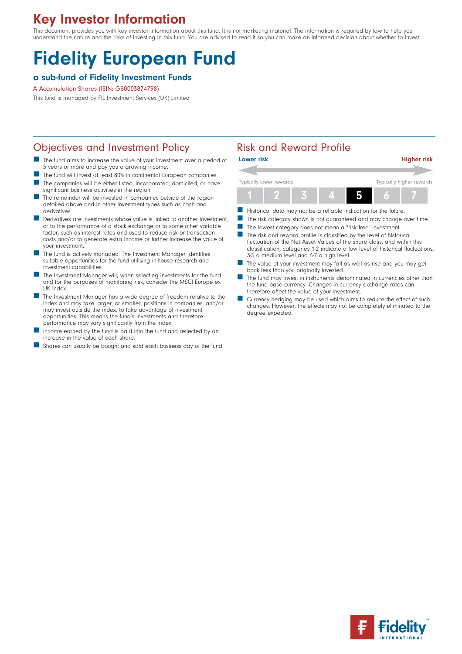## Key Investor Information

This document provides you with key investor information about this fund. It is not marketing material. The information is required by law to help you understand the nature and the risks of investing in this fund. You are advised to read it so you can make an informed decision about whether to invest.

# Fidelity European Fund

#### a sub-fund of Fidelity Investment Funds

#### A Accumulation Shares (ISIN: GB0003874798)

This fund is managed by FIL Investment Services (UK) Limited

## Objectives and Investment Policy **Risk and Reward Profile**

- The fund aims to increase the value of your investment over a period of 5 years or more and pay you a growing income.
- The fund will invest at least 80% in continental European companies.<br>■ The companies will be either listed incorporated demiciled or baw The companies will be either listed, incorporated, domiciled, or have
- significant business activities in the region. The remainder will be invested in companies outside of the region
- detailed above and in other investment types such as cash and derivatives. Derivatives are investments whose value is linked to another investment, or to the performance of a stock exchange or to some other variable
- factor, such as interest rates and used to reduce risk or transaction costs and/or to generate extra income or further increase the value of your investment.
- The fund is actively managed. The Investment Manager identifies suitable opportunities for the fund utilising in-house research and investment capabilities.
- The Investment Manager will, when selecting investments for the fund and for the purposes of monitoring risk, consider the MSCI Europe ex UK Index.
- The Investment Manager has a wide degree of freedom relative to the index and may take larger, or smaller, positions in companies, and/or may invest outside the index, to take advantage of investment opportunities. This means the fund's investments and therefore performance may vary significantly from the index.
- Income earned by the fund is paid into the fund and reflected by an increase in the value of each share.
- Shares can usually be bought and sold each business day of the fund.

| <b>Lower risk</b>       |  |  |  |  |                          | <b>Higher risk</b> |  |
|-------------------------|--|--|--|--|--------------------------|--------------------|--|
|                         |  |  |  |  |                          |                    |  |
| Typically lower rewards |  |  |  |  | Typically higher rewards |                    |  |
|                         |  |  |  |  |                          |                    |  |

- Historical data may not be a reliable indication for the future.
- The risk category shown is not guaranteed and may change over time.
- The lowest category does not mean a "risk free" investment.
- $\blacksquare$  The risk and reward profile is classified by the level of historical fluctuation of the Net Asset Values of the share class, and within this classification, categories 1-2 indicate a low level of historical fluctuations, 3-5 a medium level and 6-7 a high level.
- The value of your investment may fall as well as rise and you may get back less than you originally invested.
- The fund may invest in instruments denominated in currencies other than the fund base currency. Changes in currency exchange rates can therefore affect the value of your investment.
- Currency hedging may be used which aims to reduce the effect of such changes. However, the effects may not be completely eliminated to the degree expected.